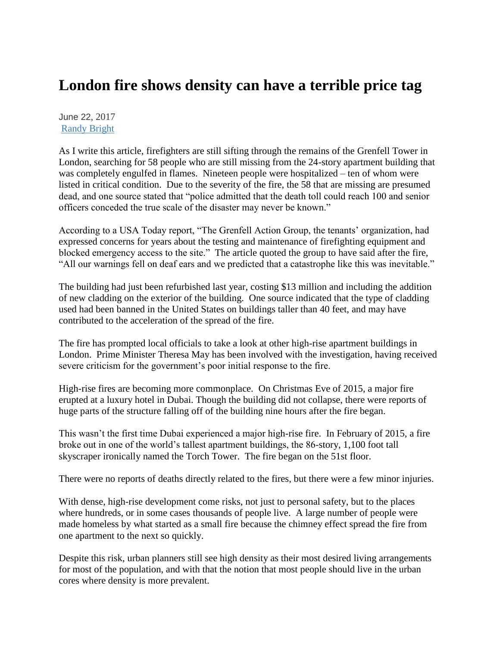## **London fire shows density can have a terrible price tag**

June 22, 2017 [Randy Bright](http://tulsabeacon.com/author/randy-bright/)

As I write this article, firefighters are still sifting through the remains of the Grenfell Tower in London, searching for 58 people who are still missing from the 24-story apartment building that was completely engulfed in flames. Nineteen people were hospitalized – ten of whom were listed in critical condition. Due to the severity of the fire, the 58 that are missing are presumed dead, and one source stated that "police admitted that the death toll could reach 100 and senior officers conceded the true scale of the disaster may never be known."

According to a USA Today report, "The Grenfell Action Group, the tenants' organization, had expressed concerns for years about the testing and maintenance of firefighting equipment and blocked emergency access to the site." The article quoted the group to have said after the fire, "All our warnings fell on deaf ears and we predicted that a catastrophe like this was inevitable."

The building had just been refurbished last year, costing \$13 million and including the addition of new cladding on the exterior of the building. One source indicated that the type of cladding used had been banned in the United States on buildings taller than 40 feet, and may have contributed to the acceleration of the spread of the fire.

The fire has prompted local officials to take a look at other high-rise apartment buildings in London. Prime Minister Theresa May has been involved with the investigation, having received severe criticism for the government's poor initial response to the fire.

High-rise fires are becoming more commonplace. On Christmas Eve of 2015, a major fire erupted at a luxury hotel in Dubai. Though the building did not collapse, there were reports of huge parts of the structure falling off of the building nine hours after the fire began.

This wasn't the first time Dubai experienced a major high-rise fire. In February of 2015, a fire broke out in one of the world's tallest apartment buildings, the 86-story, 1,100 foot tall skyscraper ironically named the Torch Tower. The fire began on the 51st floor.

There were no reports of deaths directly related to the fires, but there were a few minor injuries.

With dense, high-rise development come risks, not just to personal safety, but to the places where hundreds, or in some cases thousands of people live. A large number of people were made homeless by what started as a small fire because the chimney effect spread the fire from one apartment to the next so quickly.

Despite this risk, urban planners still see high density as their most desired living arrangements for most of the population, and with that the notion that most people should live in the urban cores where density is more prevalent.